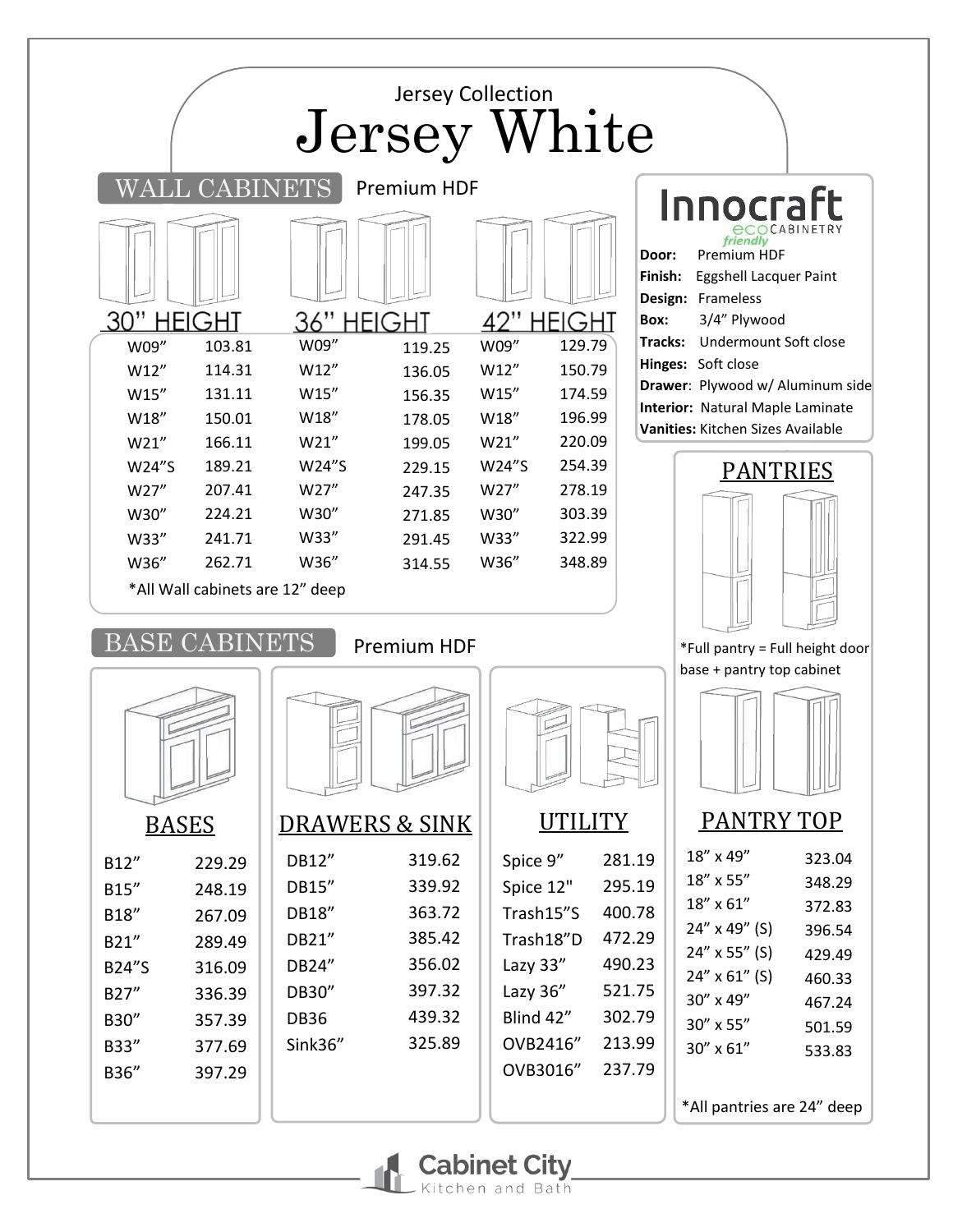